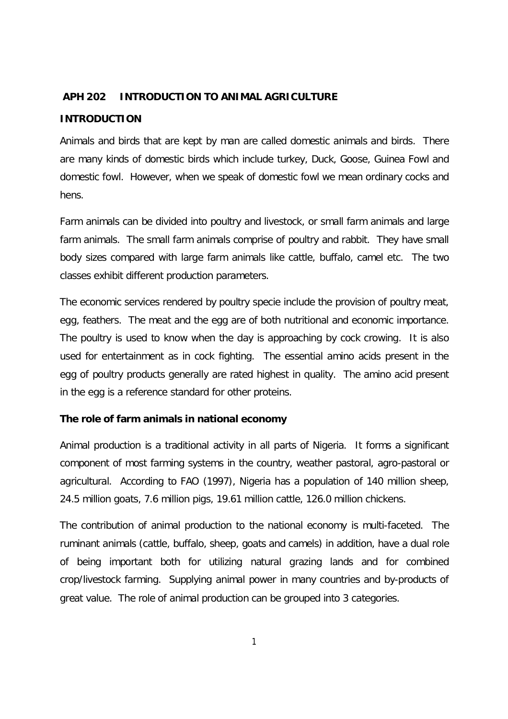### **APH 202 INTRODUCTION TO ANIMAL AGRICULTURE**

#### **INTRODUCTION**

Animals and birds that are kept by man are called domestic animals and birds. There are many kinds of domestic birds which include turkey, Duck, Goose, Guinea Fowl and domestic fowl. However, when we speak of domestic fowl we mean ordinary cocks and hens.

Farm animals can be divided into poultry and livestock, or small farm animals and large farm animals. The small farm animals comprise of poultry and rabbit. They have small body sizes compared with large farm animals like cattle, buffalo, camel etc. The two classes exhibit different production parameters.

The economic services rendered by poultry specie include the provision of poultry meat, egg, feathers. The meat and the egg are of both nutritional and economic importance. The poultry is used to know when the day is approaching by cock crowing. It is also used for entertainment as in cock fighting. The essential amino acids present in the egg of poultry products generally are rated highest in quality. The amino acid present in the egg is a reference standard for other proteins.

# **The role of farm animals in national economy**

Animal production is a traditional activity in all parts of Nigeria. It forms a significant component of most farming systems in the country, weather pastoral, agro-pastoral or agricultural. According to FAO (1997), Nigeria has a population of 140 million sheep, 24.5 million goats, 7.6 million pigs, 19.61 million cattle, 126.0 million chickens.

The contribution of animal production to the national economy is multi-faceted. The ruminant animals (cattle, buffalo, sheep, goats and camels) in addition, have a dual role of being important both for utilizing natural grazing lands and for combined crop/livestock farming. Supplying animal power in many countries and by-products of great value. The role of animal production can be grouped into 3 categories.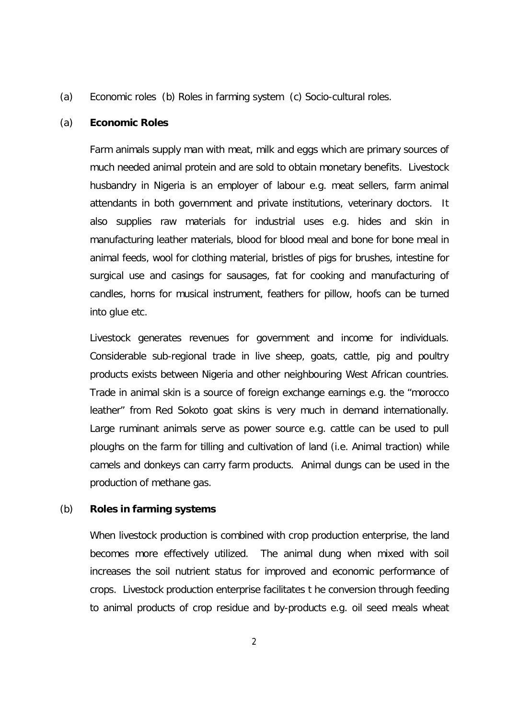(a) Economic roles (b) Roles in farming system (c) Socio-cultural roles.

#### (a) **Economic Roles**

Farm animals supply man with meat, milk and eggs which are primary sources of much needed animal protein and are sold to obtain monetary benefits. Livestock husbandry in Nigeria is an employer of labour e.g. meat sellers, farm animal attendants in both government and private institutions, veterinary doctors. It also supplies raw materials for industrial uses e.g. hides and skin in manufacturing leather materials, blood for blood meal and bone for bone meal in animal feeds, wool for clothing material, bristles of pigs for brushes, intestine for surgical use and casings for sausages, fat for cooking and manufacturing of candles, horns for musical instrument, feathers for pillow, hoofs can be turned into glue etc.

Livestock generates revenues for government and income for individuals. Considerable sub-regional trade in live sheep, goats, cattle, pig and poultry products exists between Nigeria and other neighbouring West African countries. Trade in animal skin is a source of foreign exchange earnings e.g. the "morocco leather" from Red Sokoto goat skins is very much in demand internationally. Large ruminant animals serve as power source e.g. cattle can be used to pull ploughs on the farm for tilling and cultivation of land (i.e. Animal traction) while camels and donkeys can carry farm products. Animal dungs can be used in the production of methane gas.

# (b) **Roles in farming systems**

When livestock production is combined with crop production enterprise, the land becomes more effectively utilized. The animal dung when mixed with soil increases the soil nutrient status for improved and economic performance of crops. Livestock production enterprise facilitates t he conversion through feeding to animal products of crop residue and by-products e.g. oil seed meals wheat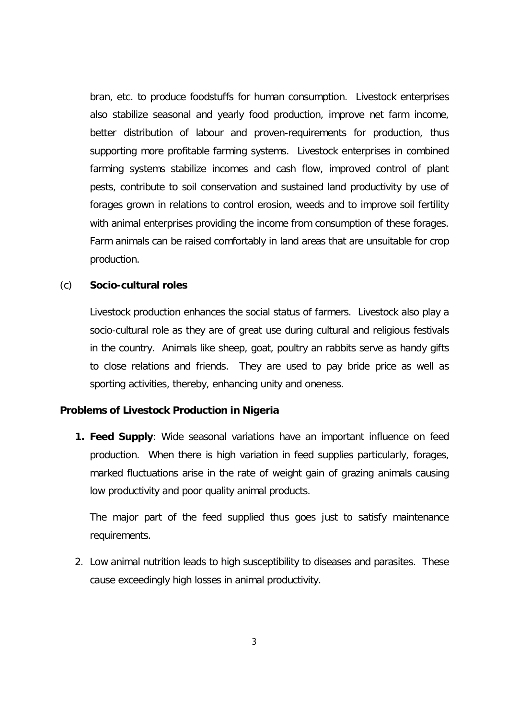bran, etc. to produce foodstuffs for human consumption. Livestock enterprises also stabilize seasonal and yearly food production, improve net farm income, better distribution of labour and proven-requirements for production, thus supporting more profitable farming systems. Livestock enterprises in combined farming systems stabilize incomes and cash flow, improved control of plant pests, contribute to soil conservation and sustained land productivity by use of forages grown in relations to control erosion, weeds and to improve soil fertility with animal enterprises providing the income from consumption of these forages. Farm animals can be raised comfortably in land areas that are unsuitable for crop production.

# (c) **Socio-cultural roles**

Livestock production enhances the social status of farmers. Livestock also play a socio-cultural role as they are of great use during cultural and religious festivals in the country. Animals like sheep, goat, poultry an rabbits serve as handy gifts to close relations and friends. They are used to pay bride price as well as sporting activities, thereby, enhancing unity and oneness.

#### **Problems of Livestock Production in Nigeria**

**1. Feed Supply**: Wide seasonal variations have an important influence on feed production. When there is high variation in feed supplies particularly, forages, marked fluctuations arise in the rate of weight gain of grazing animals causing low productivity and poor quality animal products.

The major part of the feed supplied thus goes just to satisfy maintenance requirements.

2. Low animal nutrition leads to high susceptibility to diseases and parasites. These cause exceedingly high losses in animal productivity.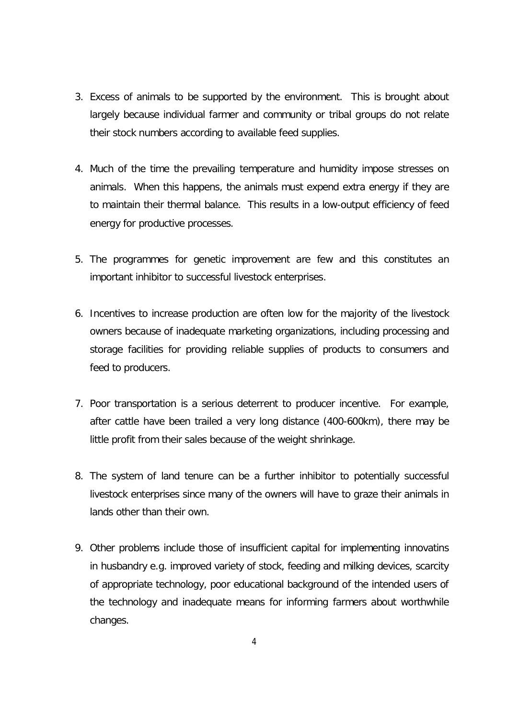- 3. Excess of animals to be supported by the environment. This is brought about largely because individual farmer and community or tribal groups do not relate their stock numbers according to available feed supplies.
- 4. Much of the time the prevailing temperature and humidity impose stresses on animals. When this happens, the animals must expend extra energy if they are to maintain their thermal balance. This results in a low-output efficiency of feed energy for productive processes.
- 5. The programmes for genetic improvement are few and this constitutes an important inhibitor to successful livestock enterprises.
- 6. Incentives to increase production are often low for the majority of the livestock owners because of inadequate marketing organizations, including processing and storage facilities for providing reliable supplies of products to consumers and feed to producers.
- 7. Poor transportation is a serious deterrent to producer incentive. For example, after cattle have been trailed a very long distance (400-600km), there may be little profit from their sales because of the weight shrinkage.
- 8. The system of land tenure can be a further inhibitor to potentially successful livestock enterprises since many of the owners will have to graze their animals in lands other than their own.
- 9. Other problems include those of insufficient capital for implementing innovatins in husbandry e.g. improved variety of stock, feeding and milking devices, scarcity of appropriate technology, poor educational background of the intended users of the technology and inadequate means for informing farmers about worthwhile changes.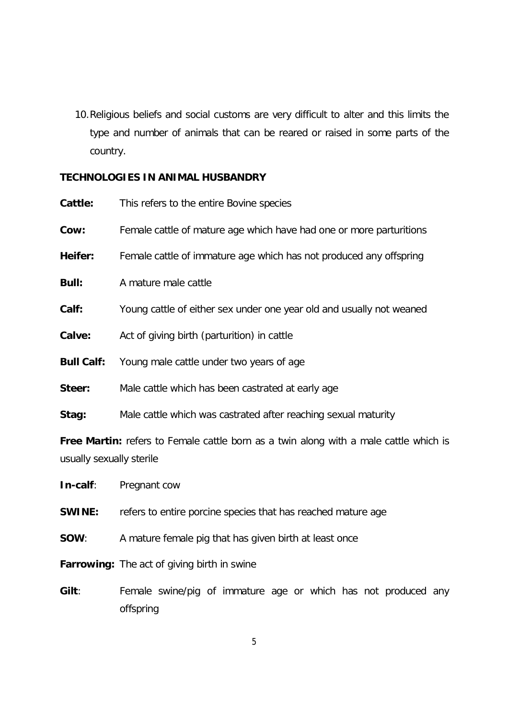10.Religious beliefs and social customs are very difficult to alter and this limits the type and number of animals that can be reared or raised in some parts of the country.

# **TECHNOLOGIES IN ANIMAL HUSBANDRY**

| Cattle:                                                                                      | This refers to the entire Bovine species                             |  |  |
|----------------------------------------------------------------------------------------------|----------------------------------------------------------------------|--|--|
| Cow:                                                                                         | Female cattle of mature age which have had one or more parturitions  |  |  |
| Heifer:                                                                                      | Female cattle of immature age which has not produced any offspring   |  |  |
| <b>Bull:</b>                                                                                 | A mature male cattle                                                 |  |  |
| Calf:                                                                                        | Young cattle of either sex under one year old and usually not weaned |  |  |
| Calve:                                                                                       | Act of giving birth (parturition) in cattle                          |  |  |
| <b>Bull Calf:</b>                                                                            | Young male cattle under two years of age                             |  |  |
| Steer:                                                                                       | Male cattle which has been castrated at early age                    |  |  |
| Stag:                                                                                        | Male cattle which was castrated after reaching sexual maturity       |  |  |
| <b>Free Martin:</b> refers to Female cattle born as a twin along with a male cattle which is |                                                                      |  |  |

usually sexually sterile

**In-calf**: Pregnant cow

- **SWINE:** refers to entire porcine species that has reached mature age
- **SOW**: A mature female pig that has given birth at least once

**Farrowing:** The act of giving birth in swine

**Gilt**: Female swine/pig of immature age or which has not produced any offspring

5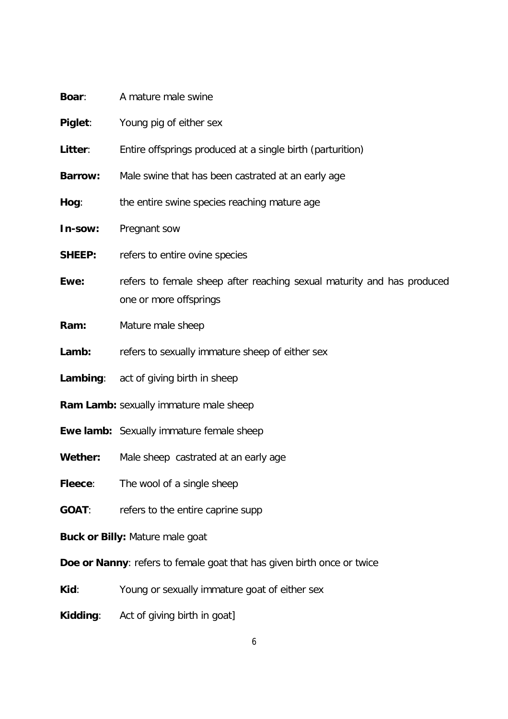| Boar:                                                                  | A mature male swine                                                                              |  |  |
|------------------------------------------------------------------------|--------------------------------------------------------------------------------------------------|--|--|
| Piglet:                                                                | Young pig of either sex                                                                          |  |  |
| Litter:                                                                | Entire offsprings produced at a single birth (parturition)                                       |  |  |
| <b>Barrow:</b>                                                         | Male swine that has been castrated at an early age                                               |  |  |
| Hog:                                                                   | the entire swine species reaching mature age                                                     |  |  |
| In-sow:                                                                | Pregnant sow                                                                                     |  |  |
| <b>SHEEP:</b>                                                          | refers to entire ovine species                                                                   |  |  |
| Ewe:                                                                   | refers to female sheep after reaching sexual maturity and has produced<br>one or more offsprings |  |  |
| Ram:                                                                   | Mature male sheep                                                                                |  |  |
| Lamb:                                                                  | refers to sexually immature sheep of either sex                                                  |  |  |
|                                                                        | Lambing: act of giving birth in sheep                                                            |  |  |
|                                                                        | Ram Lamb: sexually immature male sheep                                                           |  |  |
|                                                                        | <b>Ewe lamb:</b> Sexually immature female sheep                                                  |  |  |
| Wether:                                                                | Male sheep castrated at an early age                                                             |  |  |
| Fleece:                                                                | The wool of a single sheep                                                                       |  |  |
| <b>GOAT:</b>                                                           | refers to the entire caprine supp                                                                |  |  |
| Buck or Billy: Mature male goat                                        |                                                                                                  |  |  |
| Doe or Nanny: refers to female goat that has given birth once or twice |                                                                                                  |  |  |
| Kid:                                                                   | Young or sexually immature goat of either sex                                                    |  |  |

**Kidding**: Act of giving birth in goat]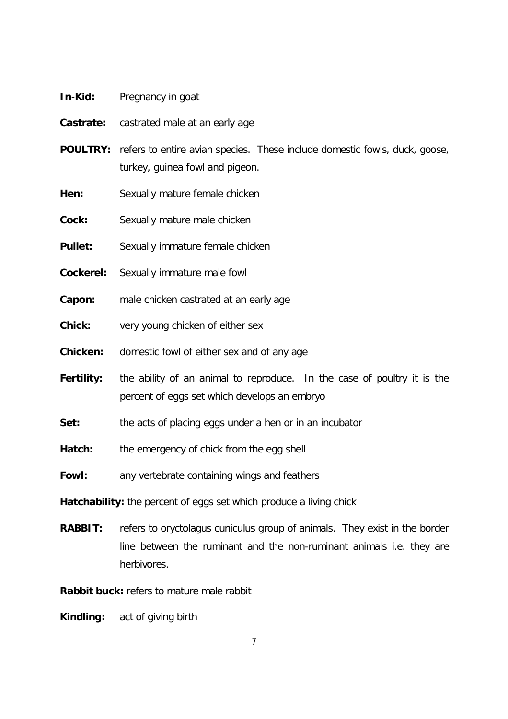- **In**-**Kid:** Pregnancy in goat
- **Castrate:** castrated male at an early age
- **POULTRY:** refers to entire avian species. These include domestic fowls, duck, goose, turkey, guinea fowl and pigeon.
- **Hen:** Sexually mature female chicken
- **Cock:** Sexually mature male chicken
- **Pullet:** Sexually immature female chicken
- **Cockerel:** Sexually immature male fowl
- **Capon:** male chicken castrated at an early age
- **Chick:** very young chicken of either sex
- **Chicken:** domestic fowl of either sex and of any age
- **Fertility:** the ability of an animal to reproduce. In the case of poultry it is the percent of eggs set which develops an embryo
- **Set:** the acts of placing eggs under a hen or in an incubator
- Hatch: the emergency of chick from the egg shell
- **Fowl:** any vertebrate containing wings and feathers

**Hatchability:** the percent of eggs set which produce a living chick

**RABBIT:** refers to *oryctolagus cuniculus* group of animals. They exist in the border line between the ruminant and the non-ruminant animals i.e. they are herbivores.

**Rabbit buck:** refers to mature male rabbit

**Kindling:** act of giving birth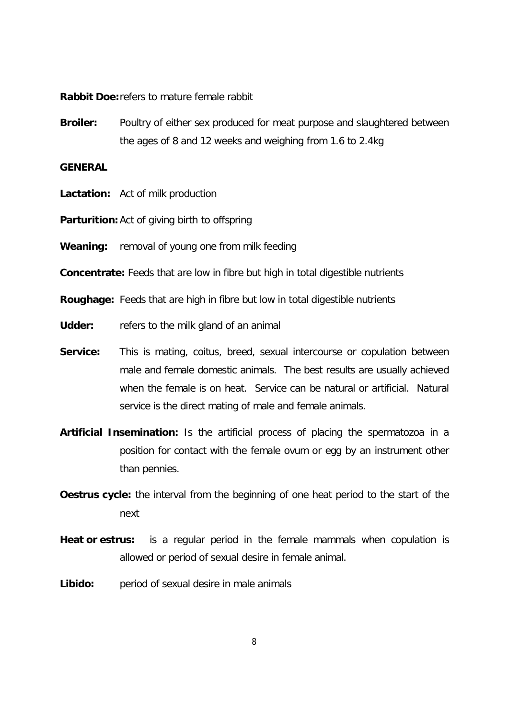**Rabbit Doe:**refers to mature female rabbit

**Broiler:** Poultry of either sex produced for meat purpose and slaughtered between the ages of 8 and 12 weeks and weighing from 1.6 to 2.4kg

### **GENERAL**

- **Lactation:** Act of milk production
- **Parturition:** Act of giving birth to offspring
- **Weaning:** removal of young one from milk feeding

**Concentrate:** Feeds that are low in fibre but high in total digestible nutrients

**Roughage:** Feeds that are high in fibre but low in total digestible nutrients

- **Udder:** refers to the milk gland of an animal
- **Service:** This is mating, coitus, breed, sexual intercourse or copulation between male and female domestic animals. The best results are usually achieved when the female is on heat. Service can be natural or artificial. Natural service is the direct mating of male and female animals.
- **Artificial Insemination:** Is the artificial process of placing the spermatozoa in a position for contact with the female ovum or egg by an instrument other than pennies.
- **Oestrus cycle:** the interval from the beginning of one heat period to the start of the next
- **Heat or estrus:** is a regular period in the female mammals when copulation is allowed or period of sexual desire in female animal.
- **Libido:** period of sexual desire in male animals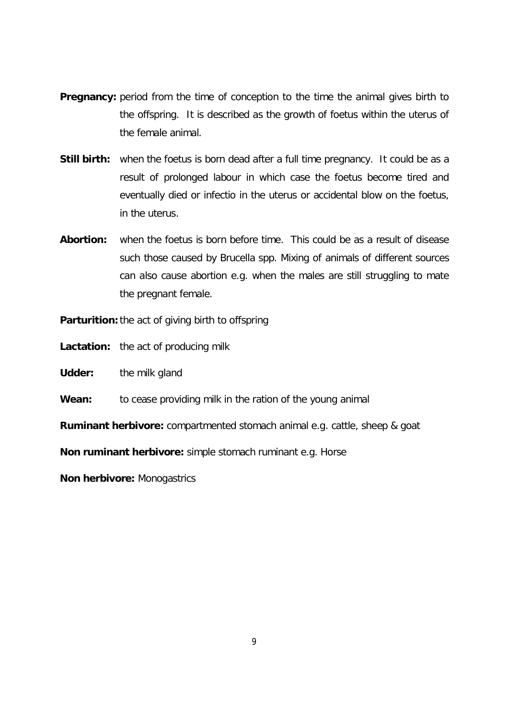- **Pregnancy:** period from the time of conception to the time the animal gives birth to the offspring. It is described as the growth of foetus within the uterus of the female animal.
- **Still birth:** when the foetus is born dead after a full time pregnancy. It could be as a result of prolonged labour in which case the foetus become tired and eventually died or infectio in the uterus or accidental blow on the foetus, in the uterus.
- **Abortion:** when the foetus is born before time. This could be as a result of disease such those caused by *Brucella spp.* Mixing of animals of different sources can also cause abortion e.g. when the males are still struggling to mate the pregnant female.

**Parturition:**the act of giving birth to offspring

**Lactation:** the act of producing milk

**Udder:** the milk gland

**Wean:** to cease providing milk in the ration of the young animal

**Ruminant herbivore:** compartmented stomach animal e.g. cattle, sheep & goat

**Non ruminant herbivore:** simple stomach ruminant e.g. Horse

**Non herbivore:** Monogastrics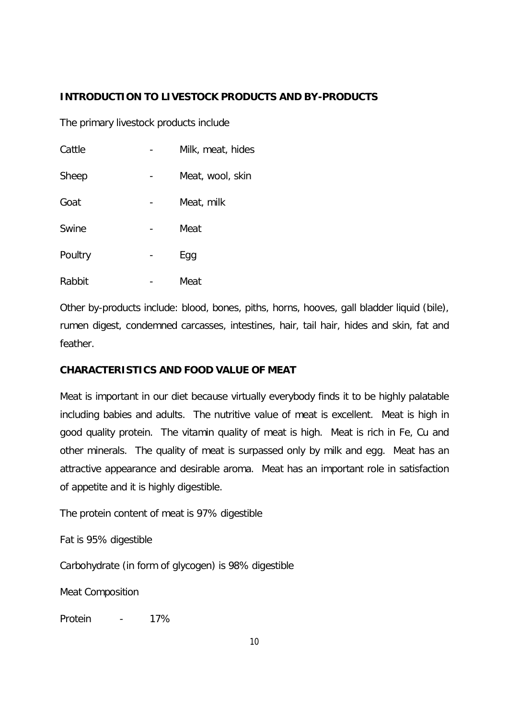# **INTRODUCTION TO LIVESTOCK PRODUCTS AND BY-PRODUCTS**

The primary livestock products include

| Cattle  | Milk, meat, hides |
|---------|-------------------|
| Sheep   | Meat, wool, skin  |
| Goat    | Meat, milk        |
| Swine   | Meat              |
| Poultry | Egg               |
| Rabbit  | Meat              |

Other by-products include: blood, bones, piths, horns, hooves, gall bladder liquid (bile), rumen digest, condemned carcasses, intestines, hair, tail hair, hides and skin, fat and feather.

# **CHARACTERISTICS AND FOOD VALUE OF MEAT**

Meat is important in our diet because virtually everybody finds it to be highly palatable including babies and adults. The nutritive value of meat is excellent. Meat is high in good quality protein. The vitamin quality of meat is high. Meat is rich in Fe, Cu and other minerals. The quality of meat is surpassed only by milk and egg. Meat has an attractive appearance and desirable aroma. Meat has an important role in satisfaction of appetite and it is highly digestible.

The protein content of meat is 97% digestible

Fat is 95% digestible

Carbohydrate (in form of glycogen) is 98% digestible

Meat Composition

Protein - 17%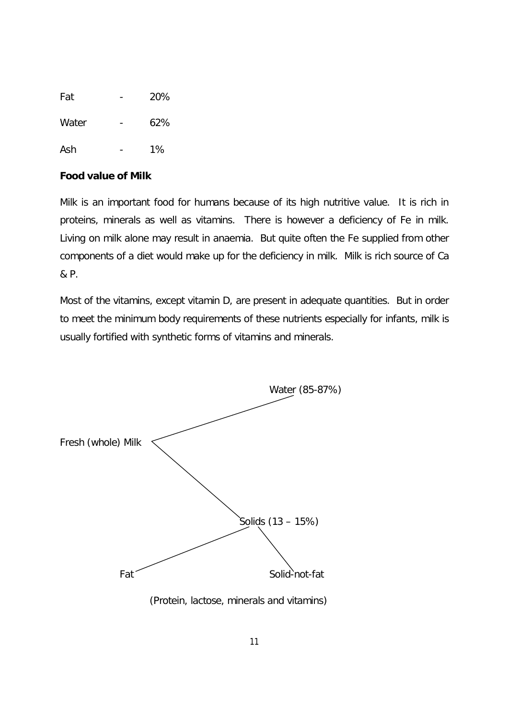| Fat   | 20%   |
|-------|-------|
| Water | 62%   |
| Ash   | $1\%$ |

# **Food value of Milk**

Milk is an important food for humans because of its high nutritive value. It is rich in proteins, minerals as well as vitamins. There is however a deficiency of Fe in milk. Living on milk alone may result in anaemia. But quite often the Fe supplied from other components of a diet would make up for the deficiency in milk. Milk is rich source of Ca & P.

Most of the vitamins, except vitamin D, are present in adequate quantities. But in order to meet the minimum body requirements of these nutrients especially for infants, milk is usually fortified with synthetic forms of vitamins and minerals.

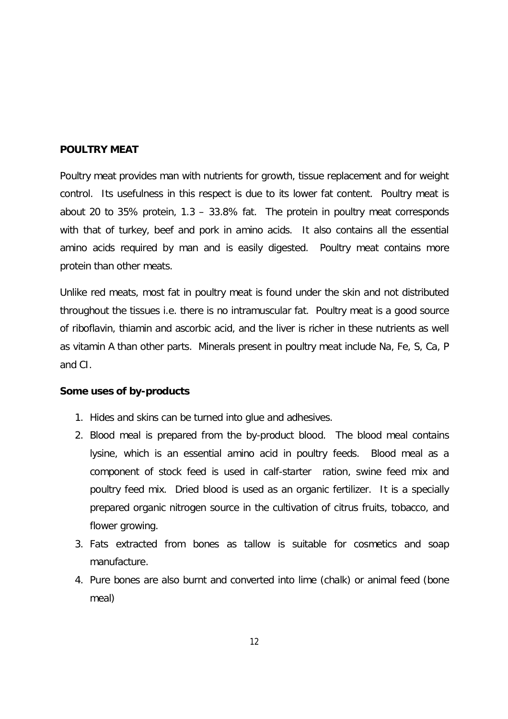### **POULTRY MEAT**

Poultry meat provides man with nutrients for growth, tissue replacement and for weight control. Its usefulness in this respect is due to its lower fat content. Poultry meat is about 20 to 35% protein, 1.3 – 33.8% fat. The protein in poultry meat corresponds with that of turkey, beef and pork in amino acids. It also contains all the essential amino acids required by man and is easily digested. Poultry meat contains more protein than other meats.

Unlike red meats, most fat in poultry meat is found under the skin and not distributed throughout the tissues i.e. there is no intramuscular fat. Poultry meat is a good source of riboflavin, thiamin and ascorbic acid, and the liver is richer in these nutrients as well as vitamin A than other parts. Minerals present in poultry meat include Na, Fe, S, Ca, P and CI.

#### **Some uses of by-products**

- 1. Hides and skins can be turned into glue and adhesives.
- 2. Blood meal is prepared from the by-product blood. The blood meal contains lysine, which is an essential amino acid in poultry feeds. Blood meal as a component of stock feed is used in calf-starter ration, swine feed mix and poultry feed mix. Dried blood is used as an organic fertilizer. It is a specially prepared organic nitrogen source in the cultivation of citrus fruits, tobacco, and flower growing.
- 3. Fats extracted from bones as tallow is suitable for cosmetics and soap manufacture.
- 4. Pure bones are also burnt and converted into lime (chalk) or animal feed (bone meal)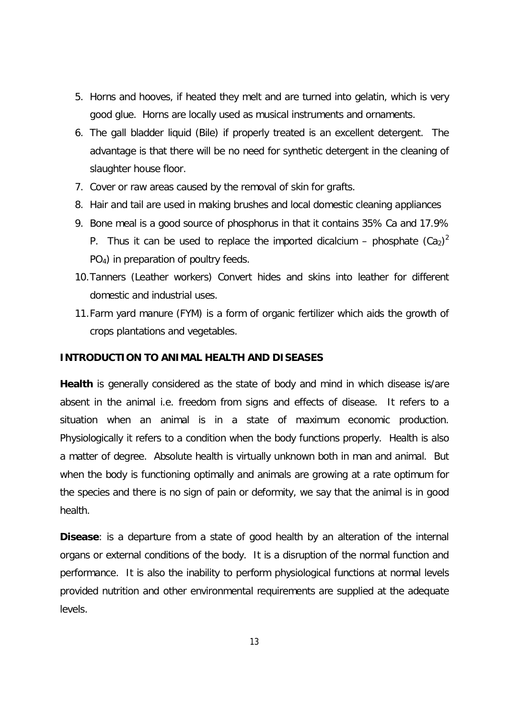- 5. Horns and hooves, if heated they melt and are turned into gelatin, which is very good glue. Horns are locally used as musical instruments and ornaments.
- 6. The gall bladder liquid (Bile) if properly treated is an excellent detergent. The advantage is that there will be no need for synthetic detergent in the cleaning of slaughter house floor.
- 7. Cover or raw areas caused by the removal of skin for grafts.
- 8. Hair and tail are used in making brushes and local domestic cleaning appliances
- 9. Bone meal is a good source of phosphorus in that it contains 35% Ca and 17.9% P. Thus it can be used to replace the imported dicalcium – phosphate  $(Ca_2)^2$ PO4) in preparation of poultry feeds.
- 10.Tanners (Leather workers) Convert hides and skins into leather for different domestic and industrial uses.
- 11.Farm yard manure (FYM) is a form of organic fertilizer which aids the growth of crops plantations and vegetables.

### **INTRODUCTION TO ANIMAL HEALTH AND DISEASES**

**Health** is generally considered as the state of body and mind in which disease is/are absent in the animal i.e. freedom from signs and effects of disease. It refers to a situation when an animal is in a state of maximum economic production. Physiologically it refers to a condition when the body functions properly. Health is also a matter of degree. Absolute health is virtually unknown both in man and animal. But when the body is functioning optimally and animals are growing at a rate optimum for the species and there is no sign of pain or deformity, we say that the animal is in good health.

**Disease**: is a departure from a state of good health by an alteration of the internal organs or external conditions of the body. It is a disruption of the normal function and performance. It is also the inability to perform physiological functions at normal levels provided nutrition and other environmental requirements are supplied at the adequate levels.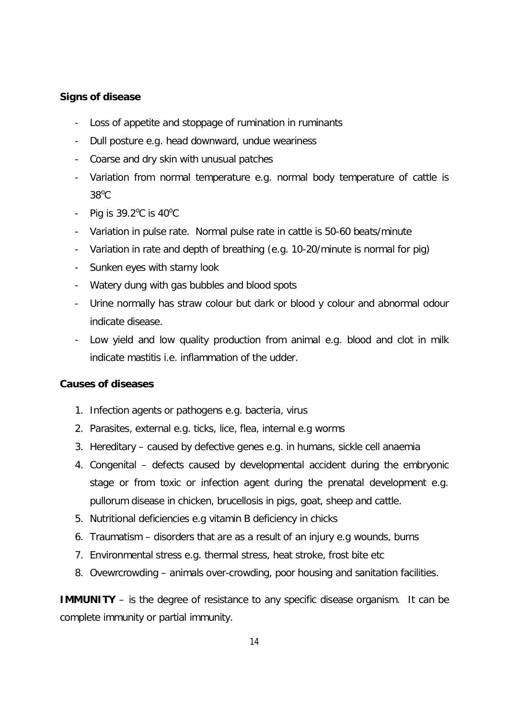# **Signs of disease**

- Loss of appetite and stoppage of rumination in ruminants
- Dull posture e.g. head downward, undue weariness
- Coarse and dry skin with unusual patches
- Variation from normal temperature e.g. normal body temperature of cattle is  $38^{\circ}$ C
- Pig is  $39.2^{\circ}$ C is  $40^{\circ}$ C
- Variation in pulse rate. Normal pulse rate in cattle is 50-60 beats/minute
- Variation in rate and depth of breathing (e.g. 10-20/minute is normal for pig)
- Sunken eyes with starny look
- Watery dung with gas bubbles and blood spots
- Urine normally has straw colour but dark or blood y colour and abnormal odour indicate disease.
- Low yield and low quality production from animal e.g. blood and clot in milk indicate mastitis i.e. inflammation of the udder.

# **Causes of diseases**

- 1. Infection agents or pathogens e.g. bacteria, virus
- 2. Parasites, external e.g. ticks, lice, flea, internal e.g worms
- 3. Hereditary caused by defective genes e.g. in humans, sickle cell anaemia
- 4. Congenital defects caused by developmental accident during the embryonic stage or from toxic or infection agent during the prenatal development e.g. pullorum disease in chicken, brucellosis in pigs, goat, sheep and cattle.
- 5. Nutritional deficiencies e.g vitamin B deficiency in chicks
- 6. Traumatism disorders that are as a result of an injury e.g wounds, burns
- 7. Environmental stress e.g. thermal stress, heat stroke, frost bite etc
- 8. Ovewrcrowding animals over-crowding, poor housing and sanitation facilities.

**IMMUNITY** – is the degree of resistance to any specific disease organism. It can be complete immunity or partial immunity.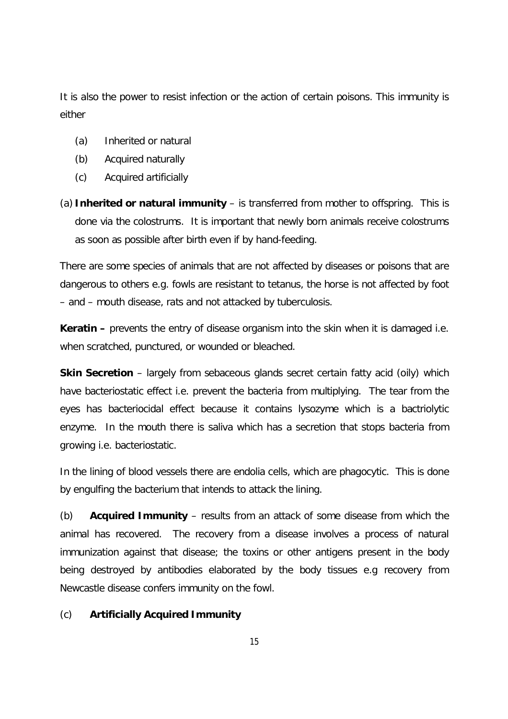It is also the power to resist infection or the action of certain poisons. This immunity is either

- (a) Inherited or natural
- (b) Acquired naturally
- (c) Acquired artificially
- (a) **Inherited or natural immunity** is transferred from mother to offspring. This is done via the colostrums. It is important that newly born animals receive colostrums as soon as possible after birth even if by hand-feeding.

There are some species of animals that are not affected by diseases or poisons that are dangerous to others e.g. fowls are resistant to tetanus, the horse is not affected by foot – and – mouth disease, rats and not attacked by tuberculosis.

**Keratin** – prevents the entry of disease organism into the skin when it is damaged i.e. when scratched, punctured, or wounded or bleached.

**Skin Secretion** – largely from sebaceous glands secret certain fatty acid (oily) which have bacteriostatic effect i.e. prevent the bacteria from multiplying. The tear from the eyes has bacteriocidal effect because it contains lysozyme which is a bactriolytic enzyme. In the mouth there is saliva which has a secretion that stops bacteria from growing i.e. bacteriostatic.

In the lining of blood vessels there are endolia cells, which are phagocytic. This is done by engulfing the bacterium that intends to attack the lining.

(b) **Acquired Immunity** – results from an attack of some disease from which the animal has recovered. The recovery from a disease involves a process of natural immunization against that disease; the toxins or other antigens present in the body being destroyed by antibodies elaborated by the body tissues e.g recovery from Newcastle disease confers immunity on the fowl.

# (c) **Artificially Acquired Immunity**